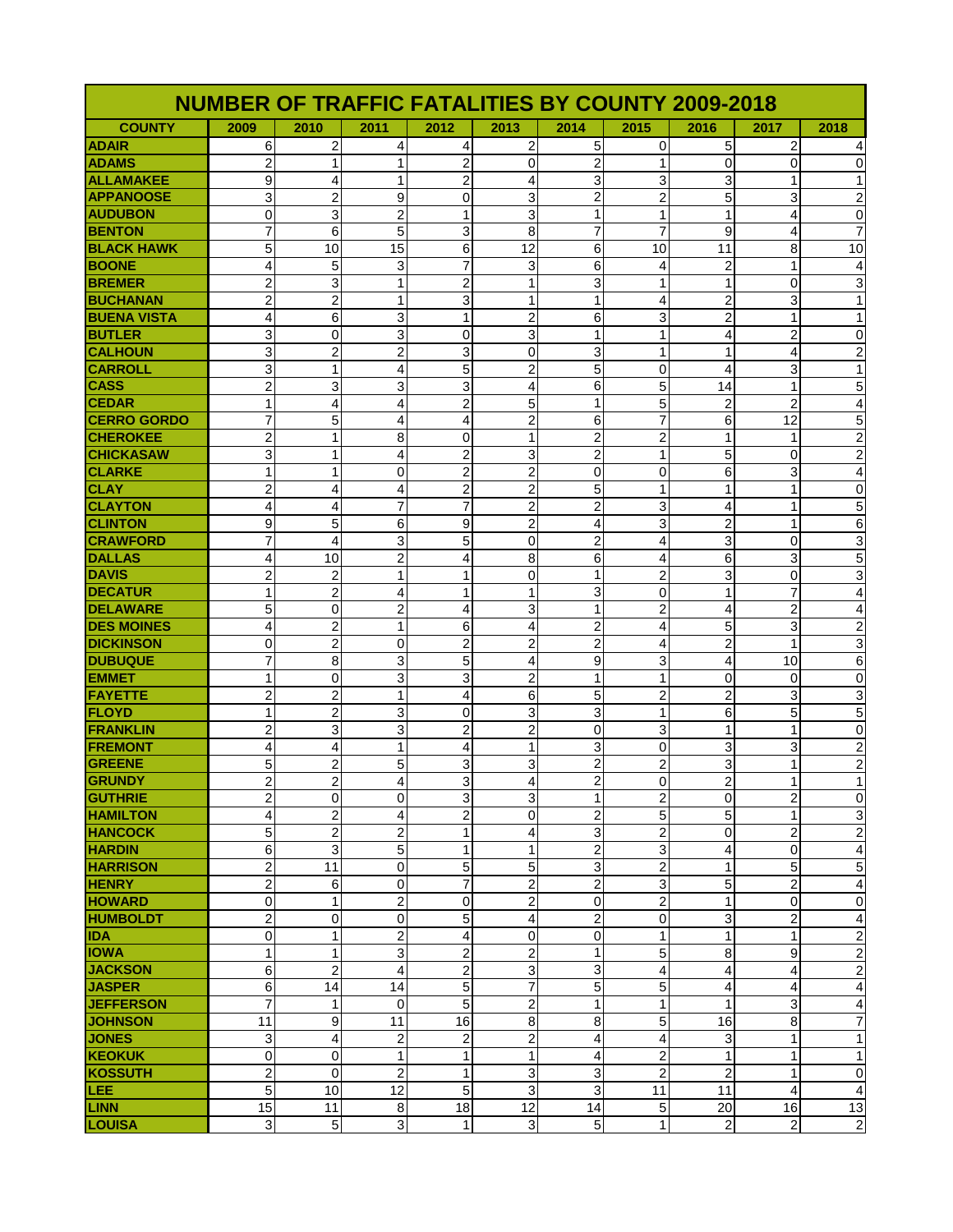| <b>NUMBER OF TRAFFIC FATALITIES BY COUNTY 2009-2018</b> |                         |                              |                              |                                |                   |                         |                              |                |                              |                                        |
|---------------------------------------------------------|-------------------------|------------------------------|------------------------------|--------------------------------|-------------------|-------------------------|------------------------------|----------------|------------------------------|----------------------------------------|
| <b>COUNTY</b>                                           | 2009                    | 2010                         | 2011                         | 2012                           | 2013              | 2014                    | 2015                         | 2016           | 2017                         | 2018                                   |
| <b>ADAIR</b>                                            | 6                       | 2                            | 4                            | 4                              | 2                 | 5                       | 0                            | 5              | 2                            | 4                                      |
| <b>ADAMS</b>                                            | $\overline{2}$          | 1                            | $\mathbf{1}$                 | $\overline{2}$                 | 0                 | 2                       | $\mathbf 1$                  | $\mathbf 0$    | 0                            | 0                                      |
| <b>ALLAMAKEE</b>                                        | 9                       | 4                            | $\mathbf{1}$                 | $\overline{c}$                 | 4                 | 3                       | 3                            | 3              | 1                            | $\mathbf{1}$                           |
| <b>APPANOOSE</b>                                        | 3                       | $\overline{c}$               | 9                            | 0                              | 3                 | $\overline{2}$          | $\overline{c}$               | 5              | 3                            | $\overline{2}$                         |
| <b>AUDUBON</b>                                          | 0                       | 3                            | $\overline{2}$               | $\mathbf{1}$                   | 3                 | $\mathbf{1}$            | 1                            | 1              | 4                            | $\pmb{0}$                              |
| <b>BENTON</b>                                           | $\overline{7}$          | 6                            | 5                            | 3                              | 8                 | $\overline{7}$          | $\overline{7}$               | 9              | 4                            | $\overline{7}$                         |
| <b>BLACK HAWK</b>                                       | 5                       | 10                           | 15                           | 6                              | 12                | 6                       | 10                           | 11             | 8                            | 10                                     |
| <b>BOONE</b>                                            | 4                       | 5                            | 3                            | 7                              | 3                 | 6                       | 4                            | $\overline{2}$ | 1                            | $\overline{\mathbf{4}}$                |
| <b>BREMER</b>                                           | 2                       | 3                            | 1                            | $\overline{2}$                 | 1                 | 3                       | $\mathbf{1}$                 | 1              | 0                            | $\ensuremath{\mathsf{3}}$              |
| <b>BUCHANAN</b>                                         | $\overline{c}$          | $\overline{c}$               | $\mathbf{1}$                 | 3                              | $\mathbf{1}$      | 1                       | 4                            | $\overline{2}$ | 3                            | $\overline{1}$                         |
| <b>BUENA VISTA</b>                                      | $\overline{4}$          | 6                            | 3                            | $\mathbf{1}$                   | $\overline{2}$    | 6                       | 3                            | $\overline{2}$ | 1                            | $\mathbf{1}$                           |
| <b>BUTLER</b>                                           | 3                       | 0                            | 3                            | 0                              | 3                 | 1                       | 1                            | 4              | 2                            | $\pmb{0}$                              |
| <b>CALHOUN</b>                                          | 3                       | $\overline{c}$               | $\overline{2}$               | 3                              | 0                 | 3                       | 1                            | 1              | 4                            | $\boldsymbol{2}$                       |
| <b>CARROLL</b>                                          | 3                       | 1                            | 4                            | 5                              | 2                 | 5                       | 0                            | 4              | 3                            | $\mathbf{1}$                           |
| <b>CASS</b>                                             | $\overline{c}$          | 3                            | 3                            | 3                              | 4                 | 6                       | 5                            | 14             | 1                            | $\mathbf 5$                            |
| <b>CEDAR</b>                                            | 1                       | 4                            | 4                            | $\overline{c}$                 | 5                 | 1                       | 5                            | $\overline{2}$ | 2                            | $\overline{\mathbf{4}}$                |
| <b>CERRO GORDO</b>                                      | $\overline{7}$          | 5                            | 4                            | 4                              | $\overline{2}$    | 6                       | $\overline{7}$               | 6              | 12                           | 5                                      |
| <b>CHEROKEE</b>                                         | $\overline{c}$          | 1                            | 8                            | 0                              | 1                 | 2                       | $\overline{2}$               | 1              | 1                            | $\boldsymbol{2}$                       |
| <b>CHICKASAW</b>                                        | 3                       | 1                            | 4                            | $\overline{2}$                 | 3                 | 2                       | 1                            | 5              | 0                            | $\overline{2}$                         |
| <b>CLARKE</b>                                           | 1                       | 1                            | 0                            | 2                              | 2                 | 0                       | 0                            | 6              | 3                            | $\overline{\mathbf{4}}$                |
| <b>CLAY</b>                                             | $\overline{c}$          | 4                            | 4                            | $\overline{\mathbf{c}}$        | $\overline{2}$    | 5                       | $\mathbf{1}$                 | 1              | 1                            | 0                                      |
| <b>CLAYTON</b>                                          | 4                       | 4                            | $\overline{7}$               | $\overline{7}$                 | $\overline{2}$    | $\overline{2}$          | 3                            | 4              | 1                            | $\mathbf 5$                            |
| <b>CLINTON</b>                                          | 9                       | 5                            | 6                            | 9                              | 2                 | 4                       | 3                            | 2              | 1                            | $\,6$                                  |
| <b>CRAWFORD</b>                                         | 7                       | 4                            | 3                            | 5                              | 0                 | $\overline{\mathbf{c}}$ | 4                            | 3              | 0                            | $\ensuremath{\mathsf{3}}$              |
| <b>DALLAS</b>                                           | $\overline{4}$          | 10                           | $\overline{c}$               | 4                              | 8                 | 6                       | 4                            | 6              | 3                            | $\mathbf 5$                            |
| <b>DAVIS</b>                                            | 2                       | 2                            | $\mathbf{1}$                 | 1                              | 0                 | 1                       | 2                            | 3              | 0                            | $\ensuremath{\mathsf{3}}$              |
| <b>DECATUR</b>                                          | $\mathbf{1}$            | $\overline{2}$               | 4                            | $\mathbf{1}$                   | 1                 | 3                       | 0                            | 1              | $\overline{7}$               | $\overline{4}$                         |
| <b>DELAWARE</b>                                         | 5                       | $\overline{0}$               | $\overline{c}$               | 4                              | 3                 | $\mathbf{1}$            | $\overline{c}$               | $\overline{4}$ | $\overline{2}$               | $\overline{\mathbf{4}}$                |
| <b>DES MOINES</b>                                       | $\overline{4}$          | $\overline{c}$               | $\mathbf{1}$                 | 6                              | 4                 | $\overline{c}$          | 4                            | 5              | 3                            | $\overline{2}$                         |
| <b>DICKINSON</b>                                        | 0                       | $\overline{c}$               | 0                            | $\overline{2}$                 | $\overline{2}$    | $\overline{c}$          | 4                            | $\overline{2}$ | 1                            | $\ensuremath{\mathsf{3}}$              |
| <b>DUBUQUE</b>                                          | 7                       | 8                            | 3                            | 5                              | 4                 | 9                       | 3                            | 4              | 10                           | $\,6$                                  |
| <b>EMMET</b>                                            | 1                       | $\mathbf 0$                  | 3                            | 3                              | 2                 | 1                       | 1                            | 0              | 0                            | $\pmb{0}$                              |
| <b>FAYETTE</b>                                          | $\overline{2}$          | 2                            | $\mathbf{1}$                 | 4                              | 6                 | 5                       | $\overline{2}$               | $\overline{2}$ | 3                            | $\ensuremath{\mathsf{3}}$              |
| <b>FLOYD</b>                                            | 1                       | 2                            | 3                            | 0                              | 3                 | 3                       | $\mathbf{1}$                 | 6              | 5                            | $\mathbf 5$                            |
| <b>FRANKLIN</b>                                         | $\overline{2}$          | 3                            | 3                            | $\overline{c}$                 | $\overline{2}$    | 0                       | 3                            | 1              | 1                            | $\pmb{0}$                              |
| <b>FREMONT</b>                                          | 4                       | 4                            | $\mathbf{1}$                 | 4                              | $\mathbf{1}$      | 3                       | $\Omega$                     | 3              | 3                            | $\sqrt{2}$                             |
| <b>GREENE</b>                                           | 5                       | 2                            | 5                            | 3                              | 3                 | 2                       | 2                            | 3              | 1                            | $\sqrt{2}$                             |
| <b>GRUNDY</b>                                           | $\overline{2}$          | $\overline{2}$               | $\overline{4}$               | 3                              | $\overline{4}$    | $\overline{a}$          | $\Omega$                     | $\overline{2}$ | 1                            | $\mathbf{1}$                           |
| <b>GUTHRIE</b>                                          | $\overline{c}$          | $\mathbf 0$                  | $\mathbf 0$<br>4             | 3                              | 3                 | 1                       | 2                            | $\mathbf 0$    | $\overline{\mathbf{c}}$<br>1 | $\pmb{0}$                              |
| <b>HAMILTON</b><br><b>HANCOCK</b>                       | 4                       | 2                            |                              | $\overline{c}$<br>$\mathbf{1}$ | 0                 | 2                       | 5                            | 5              |                              | 3<br>$\overline{2}$                    |
| <b>HARDIN</b>                                           | 5<br>6                  | $\overline{\mathbf{c}}$<br>3 | $\overline{\mathbf{c}}$<br>5 | $\mathbf{1}$                   | 4<br>$\mathbf{1}$ | 3<br>$\overline{c}$     | $\overline{\mathbf{c}}$<br>3 | 0              | 2<br>0                       |                                        |
| <b>HARRISON</b>                                         | $\overline{\mathbf{c}}$ | 11                           | 0                            | 5                              | 5                 | 3                       | 2                            | 4<br>1         | 5                            | $\overline{\mathbf{4}}$<br>$\mathbf 5$ |
| <b>HENRY</b>                                            | $\overline{2}$          | 6                            | 0                            | 7                              | $\overline{2}$    | $\overline{c}$          | 3                            | 5              | $\overline{2}$               | $\overline{\mathbf{4}}$                |
| <b>HOWARD</b>                                           | 0                       | 1                            | $\overline{\mathbf{c}}$      | 0                              | 2                 | 0                       | 2                            | 1              | 0                            | $\pmb{0}$                              |
| <b>HUMBOLDT</b>                                         | $\overline{c}$          | 0                            | $\mathsf 0$                  | 5                              | 4                 | $\overline{\mathbf{c}}$ | 0                            | 3              | $\overline{2}$               | 4                                      |
| <b>IDA</b>                                              | 0                       | $\mathbf{1}$                 | $\overline{2}$               | 4                              | 0                 | 0                       | $\mathbf{1}$                 | 1              | 1                            | $\overline{\mathbf{c}}$                |
| <b>IOWA</b>                                             | 1                       | 1                            | 3                            | $\overline{\mathbf{c}}$        | $\overline{2}$    | 1                       | 5                            | 8              | 9                            | $\boldsymbol{2}$                       |
| <b>JACKSON</b>                                          | 6                       | $\overline{c}$               | $\overline{\mathbf{4}}$      | $\overline{\mathbf{c}}$        | 3                 | 3                       | 4                            | 4              | 4                            | $\boldsymbol{2}$                       |
| <b>JASPER</b>                                           | 6                       | 14                           | 14                           | 5                              | $\overline{7}$    | 5                       | 5                            | $\overline{4}$ | $\overline{\mathbf{4}}$      | $\overline{\mathbf{4}}$                |
| <b>JEFFERSON</b>                                        | 7                       | 1                            | 0                            | 5                              | 2                 | 1                       | 1                            | 1              | 3                            | 4                                      |
| <b>JOHNSON</b>                                          | 11                      | 9                            | 11                           | 16                             | 8                 | 8                       | $\sqrt{5}$                   | 16             | 8                            | $\overline{7}$                         |
| <b>JONES</b>                                            | 3                       | 4                            | $\overline{\mathbf{c}}$      | $\overline{\mathbf{c}}$        | $\mathbf 2$       | 4                       | $\overline{4}$               | 3              | $\mathbf{1}$                 | $\mathbf{1}$                           |
| <b>KEOKUK</b>                                           | 0                       | $\pmb{0}$                    | $\mathbf{1}$                 | $\mathbf 1$                    | $\mathbf{1}$      | 4                       | 2                            | 1              | 1                            | $\mathbf{1}$                           |
| <b>KOSSUTH</b>                                          | $\overline{c}$          | $\mathbf 0$                  | $\overline{2}$               | $\mathbf{1}$                   | 3                 | 3                       | $\overline{2}$               | $\overline{2}$ | 1                            | $\pmb{0}$                              |
| <b>LEE</b>                                              | 5                       | 10                           | 12                           | 5                              | 3                 | 3                       | 11                           | 11             | $\overline{4}$               | $\overline{\mathbf{4}}$                |
| <b>LINN</b>                                             | 15                      | 11                           | 8                            | 18                             | 12                | 14                      | 5                            | 20             | 16                           | 13                                     |
| LOUISA                                                  | 3                       | 5                            | 3                            | $\mathbf{1}$                   | 3                 | 5                       | $\mathbf{1}$                 | $\overline{2}$ | $\boldsymbol{2}$             | $\overline{c}$                         |